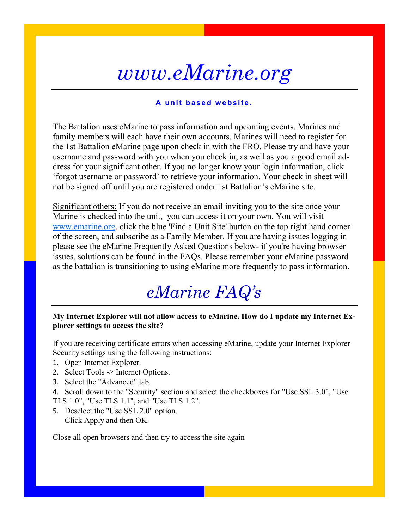# *www.eMarine.org*

### A unit based website.

The Battalion uses eMarine to pass information and upcoming events. Marines and family members will each have their own accounts. Marines will need to register for the 1st Battalion eMarine page upon check in with the FRO. Please try and have your username and password with you when you check in, as well as you a good email address for your significant other. If you no longer know your login information, click 'forgot username or password' to retrieve your information. Your check in sheet will not be signed off until you are registered under 1st Battalion's eMarine site.

Significant others: If you do not receive an email inviting you to the site once your Marine is checked into the unit, you can access it on your own. You will visit [www.emarine.org,](http://www.emarine.org) click the blue 'Find a Unit Site' button on the top right hand corner of the screen, and subscribe as a Family Member. If you are having issues logging in please see the eMarine Frequently Asked Questions below- if you're having browser issues, solutions can be found in the FAQs. Please remember your eMarine password as the battalion is transitioning to using eMarine more frequently to pass information.

# *eMarine FAQ's*

#### **My Internet Explorer will not allow access to eMarine. How do I update my Internet Explorer settings to access the site?**

If you are receiving certificate errors when accessing eMarine, update your Internet Explorer Security settings using the following instructions:

- 1. Open Internet Explorer.
- 2. Select Tools -> Internet Options.
- 3. Select the "Advanced" tab.
- 4. Scroll down to the "Security" section and select the checkboxes for "Use SSL 3.0", "Use TLS 1.0", "Use TLS 1.1", and "Use TLS 1.2".
- 5. Deselect the "Use SSL 2.0" option. Click Apply and then OK.

Close all open browsers and then try to access the site again